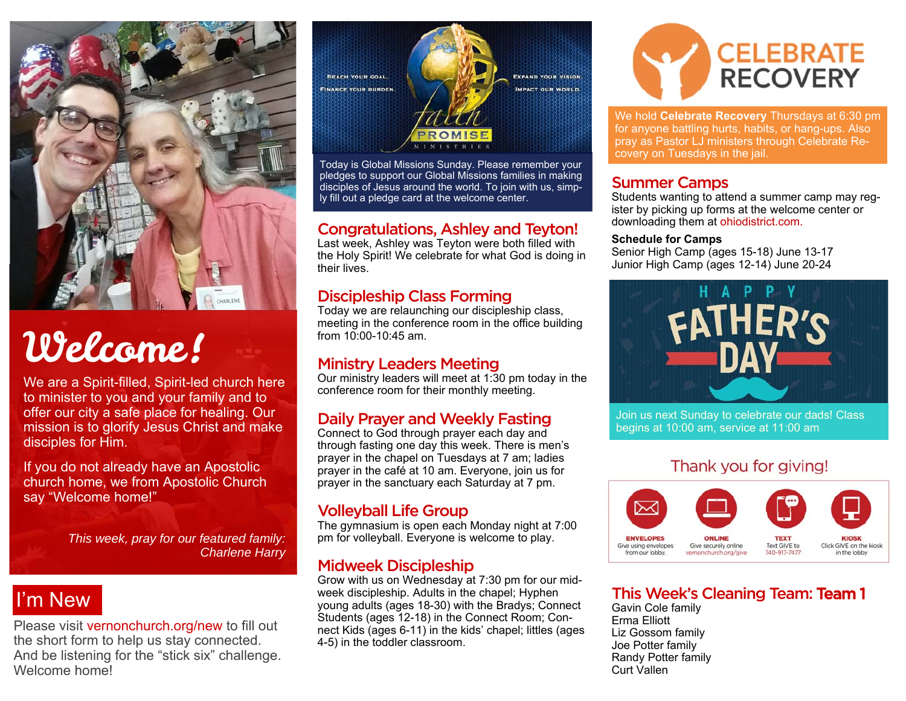

# Welcome!

We are a Spirit-filled, Spirit-led church here to minister to you and your family and to offer our city a safe place for healing. Our mission is to glorify Jesus Christ and make disciples for Him.

If you do not already have an Apostolic church home, we from Apostolic Church say "Welcome home!"

> *This week, pray for our featured family: Charlene Harry*

## I'm New

Please visit vernonchurch.org/new to fill out the short form to help us stay connected. And be listening for the "stick six" challenge. Welcome home!



Today is Global Missions Sunday. Please remember your pledges to support our Global Missions families in making disciples of Jesus around the world. To join with us, simply fill out a pledge card at the welcome center.

#### Congratulations, Ashley and Teyton!

Last week, Ashley was Teyton were both filled with the Holy Spirit! We celebrate for what God is doing in their lives.

#### Discipleship Class Forming

Today we are relaunching our discipleship class, meeting in the conference room in the office building from 10:00-10:45 am.

#### Ministry Leaders Meeting

Our ministry leaders will meet at 1:30 pm today in the conference room for their monthly meeting.

#### Daily Prayer and Weekly Fasting

Connect to God through prayer each day and through fasting one day this week. There is men's prayer in the chapel on Tuesdays at 7 am; ladies prayer in the café at 10 am. Everyone, join us for prayer in the sanctuary each Saturday at 7 pm.

#### Volleyball Life Group

The gymnasium is open each Monday night at 7:00 pm for volleyball. Everyone is welcome to play.

#### Midweek Discipleship

Grow with us on Wednesday at 7:30 pm for our midweek discipleship. Adults in the chapel; Hyphen young adults (ages 18-30) with the Bradys; Connect Students (ages 12-18) in the Connect Room; Connect Kids (ages 6-11) in the kids' chapel; littles (ages 4-5) in the toddler classroom.



We hold **Celebrate Recovery** Thursdays at 6:30 pm for anyone battling hurts, habits, or hang-ups. Also pray as Pastor LJ ministers through Celebrate Recovery on Tuesdays in the jail.

#### Summer Camps

Students wanting to attend a summer camp may register by picking up forms at the welcome center or downloading them at ohiodistrict.com.

#### **Schedule for Camps**

Senior High Camp (ages 15-18) June 13-17 Junior High Camp (ages 12-14) June 20-24



Join us next Sunday to celebrate our dads! Class begins at 10:00 am, service at 11:00 am

#### Thank you for giving!



#### This Week's Cleaning Team: Team 1

Gavin Cole family Erma Elliott Liz Gossom family Joe Potter family Randy Potter family Curt Vallen